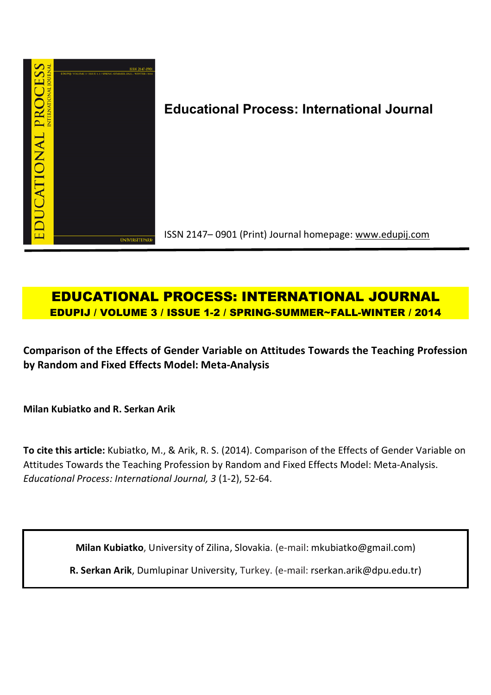

# **Educational Process: International Journal**

ISSN 2147– 0901 (Print) Journal homepage: www.edupij.com

## **EDUCATIONAL PROCESS: INTERNATIONAL JOURNAL EDUPIJ / VOLUME 3 / ISSUE 1-2 / SPRING-SUMMER~FALL-WINTER / 2014**

**Comparison of the Effects of Gender Variable on Attitudes Towards the Teaching Profession by Random and Fixed Effects Model: Meta-Analysis**

**Milan Kubiatko and R. Serkan Arik** 

**To cite this article:** Kubiatko, M., & Arik, R. S. (2014). Comparison of the Effects of Gender Variable on Attitudes Towards the Teaching Profession by Random and Fixed Effects Model: Meta-Analysis. *Educational Process: International Journal, 3* (1-2), 52-64.

**Milan Kubiatko**, University of Zilina, Slovakia. (e-mail: mkubiatko@gmail.com)

**R. Serkan Arik**, Dumlupinar University, Turkey. (e-mail: rserkan.arik@dpu.edu.tr)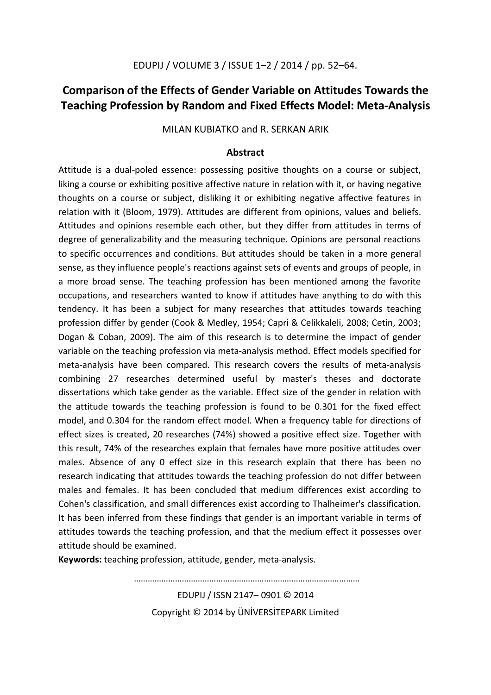## **Comparison of the Effects of Gender Variable on Attitudes Towards the Teaching Profession by Random and Fixed Effects Model: Meta-Analysis**

MILAN KUBIATKO and R. SERKAN ARIK

## **Abstract**

Attitude is a dual-poled essence: possessing positive thoughts on a course or subject, liking a course or exhibiting positive affective nature in relation with it, or having negative thoughts on a course or subject, disliking it or exhibiting negative affective features in relation with it (Bloom, 1979). Attitudes are different from opinions, values and beliefs. Attitudes and opinions resemble each other, but they differ from attitudes in terms of degree of generalizability and the measuring technique. Opinions are personal reactions to specific occurrences and conditions. But attitudes should be taken in a more general sense, as they influence people's reactions against sets of events and groups of people, in a more broad sense. The teaching profession has been mentioned among the favorite occupations, and researchers wanted to know if attitudes have anything to do with this tendency. It has been a subject for many researches that attitudes towards teaching profession differ by gender (Cook & Medley, 1954; Capri & Celikkaleli, 2008; Cetin, 2003; Dogan & Coban, 2009). The aim of this research is to determine the impact of gender variable on the teaching profession via meta-analysis method. Effect models specified for meta-analysis have been compared. This research covers the results of meta-analysis combining 27 researches determined useful by master's theses and doctorate dissertations which take gender as the variable. Effect size of the gender in relation with the attitude towards the teaching profession is found to be 0.301 for the fixed effect model, and 0.304 for the random effect model. When a frequency table for directions of effect sizes is created, 20 researches (74%) showed a positive effect size. Together with this result, 74% of the researches explain that females have more positive attitudes over males. Absence of any 0 effect size in this research explain that there has been no research indicating that attitudes towards the teaching profession do not differ between males and females. It has been concluded that medium differences exist according to Cohen's classification, and small differences exist according to Thalheimer's classification. It has been inferred from these findings that gender is an important variable in terms of attitudes towards the teaching profession, and that the medium effect it possesses over attitude should be examined.

**Keywords:** teaching profession, attitude, gender, meta-analysis.

EDUPIJ / ISSN 2147– 0901 © 2014 Copyright © 2014 by ÜNİVERSİTEPARK Limited

………………………………………………………………………………………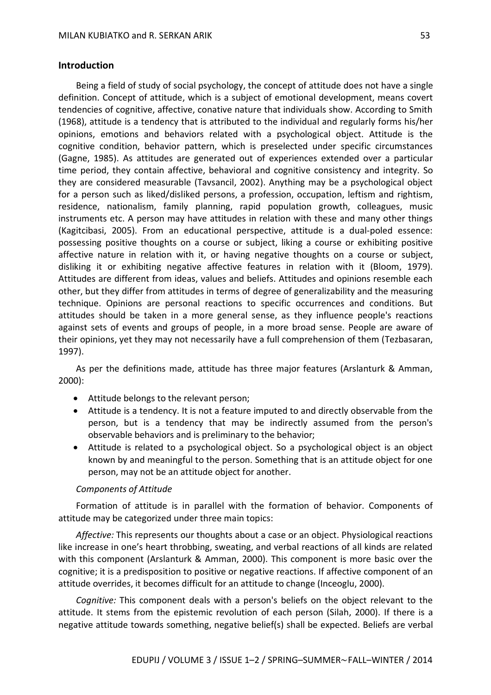## **Introduction**

Being a field of study of social psychology, the concept of attitude does not have a single definition. Concept of attitude, which is a subject of emotional development, means covert tendencies of cognitive, affective, conative nature that individuals show. According to Smith (1968), attitude is a tendency that is attributed to the individual and regularly forms his/her opinions, emotions and behaviors related with a psychological object. Attitude is the cognitive condition, behavior pattern, which is preselected under specific circumstances (Gagne, 1985). As attitudes are generated out of experiences extended over a particular time period, they contain affective, behavioral and cognitive consistency and integrity. So they are considered measurable (Tavsancil, 2002). Anything may be a psychological object for a person such as liked/disliked persons, a profession, occupation, leftism and rightism, residence, nationalism, family planning, rapid population growth, colleagues, music instruments etc. A person may have attitudes in relation with these and many other things (Kagitcibasi, 2005). From an educational perspective, attitude is a dual-poled essence: possessing positive thoughts on a course or subject, liking a course or exhibiting positive affective nature in relation with it, or having negative thoughts on a course or subject, disliking it or exhibiting negative affective features in relation with it (Bloom, 1979). Attitudes are different from ideas, values and beliefs. Attitudes and opinions resemble each other, but they differ from attitudes in terms of degree of generalizability and the measuring technique. Opinions are personal reactions to specific occurrences and conditions. But attitudes should be taken in a more general sense, as they influence people's reactions against sets of events and groups of people, in a more broad sense. People are aware of their opinions, yet they may not necessarily have a full comprehension of them (Tezbasaran, 1997).

As per the definitions made, attitude has three major features (Arslanturk & Amman, 2000):

- Attitude belongs to the relevant person;
- Attitude is a tendency. It is not a feature imputed to and directly observable from the person, but is a tendency that may be indirectly assumed from the person's observable behaviors and is preliminary to the behavior;
- Attitude is related to a psychological object. So a psychological object is an object known by and meaningful to the person. Something that is an attitude object for one person, may not be an attitude object for another.

## *Components of Attitude*

Formation of attitude is in parallel with the formation of behavior. Components of attitude may be categorized under three main topics:

*Affective:* This represents our thoughts about a case or an object. Physiological reactions like increase in one's heart throbbing, sweating, and verbal reactions of all kinds are related with this component (Arslanturk & Amman, 2000). This component is more basic over the cognitive; it is a predisposition to positive or negative reactions. If affective component of an attitude overrides, it becomes difficult for an attitude to change (Inceoglu, 2000).

*Cognitive:* This component deals with a person's beliefs on the object relevant to the attitude. It stems from the epistemic revolution of each person (Silah, 2000). If there is a negative attitude towards something, negative belief(s) shall be expected. Beliefs are verbal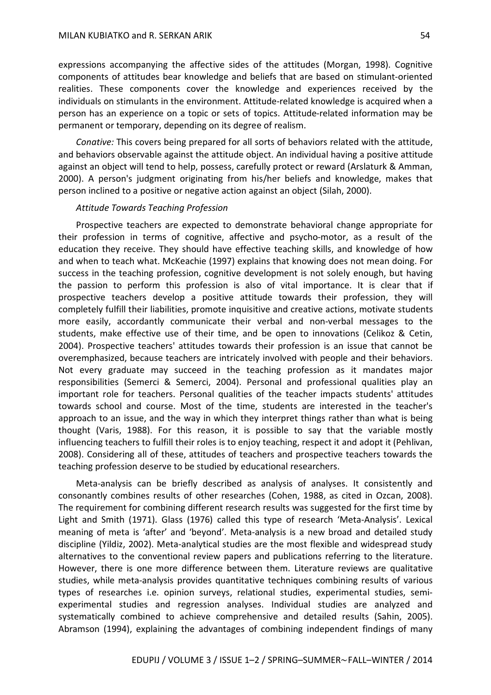expressions accompanying the affective sides of the attitudes (Morgan, 1998). Cognitive components of attitudes bear knowledge and beliefs that are based on stimulant-oriented realities. These components cover the knowledge and experiences received by the individuals on stimulants in the environment. Attitude-related knowledge is acquired when a person has an experience on a topic or sets of topics. Attitude-related information may be permanent or temporary, depending on its degree of realism.

*Conative:* This covers being prepared for all sorts of behaviors related with the attitude, and behaviors observable against the attitude object. An individual having a positive attitude against an object will tend to help, possess, carefully protect or reward (Arslaturk & Amman, 2000). A person's judgment originating from his/her beliefs and knowledge, makes that person inclined to a positive or negative action against an object (Silah, 2000).

#### *Attitude Towards Teaching Profession*

Prospective teachers are expected to demonstrate behavioral change appropriate for their profession in terms of cognitive, affective and psycho-motor, as a result of the education they receive. They should have effective teaching skills, and knowledge of how and when to teach what. McKeachie (1997) explains that knowing does not mean doing. For success in the teaching profession, cognitive development is not solely enough, but having the passion to perform this profession is also of vital importance. It is clear that if prospective teachers develop a positive attitude towards their profession, they will completely fulfill their liabilities, promote inquisitive and creative actions, motivate students more easily, accordantly communicate their verbal and non-verbal messages to the students, make effective use of their time, and be open to innovations (Celikoz & Cetin, 2004). Prospective teachers' attitudes towards their profession is an issue that cannot be overemphasized, because teachers are intricately involved with people and their behaviors. Not every graduate may succeed in the teaching profession as it mandates major responsibilities (Semerci & Semerci, 2004). Personal and professional qualities play an important role for teachers. Personal qualities of the teacher impacts students' attitudes towards school and course. Most of the time, students are interested in the teacher's approach to an issue, and the way in which they interpret things rather than what is being thought (Varis, 1988). For this reason, it is possible to say that the variable mostly influencing teachers to fulfill their roles is to enjoy teaching, respect it and adopt it (Pehlivan, 2008). Considering all of these, attitudes of teachers and prospective teachers towards the teaching profession deserve to be studied by educational researchers.

Meta-analysis can be briefly described as analysis of analyses. It consistently and consonantly combines results of other researches (Cohen, 1988, as cited in Ozcan, 2008). The requirement for combining different research results was suggested for the first time by Light and Smith (1971). Glass (1976) called this type of research 'Meta-Analysis'. Lexical meaning of meta is 'after' and 'beyond'. Meta-analysis is a new broad and detailed study discipline (Yildiz, 2002). Meta-analytical studies are the most flexible and widespread study alternatives to the conventional review papers and publications referring to the literature. However, there is one more difference between them. Literature reviews are qualitative studies, while meta-analysis provides quantitative techniques combining results of various types of researches i.e. opinion surveys, relational studies, experimental studies, semiexperimental studies and regression analyses. Individual studies are analyzed and systematically combined to achieve comprehensive and detailed results (Sahin, 2005). Abramson (1994), explaining the advantages of combining independent findings of many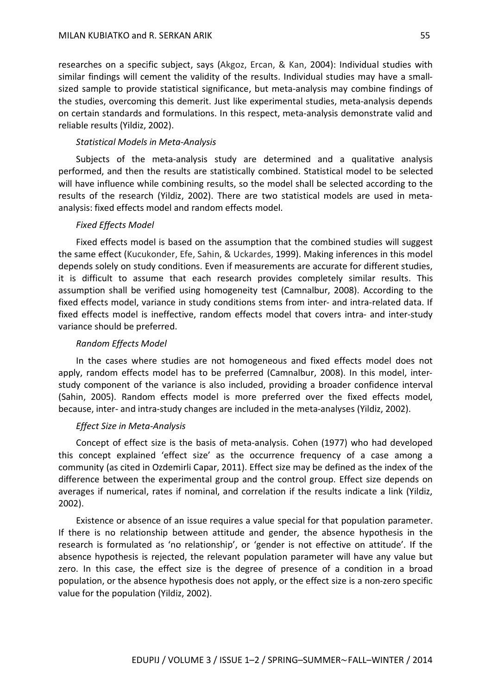researches on a specific subject, says (Akgoz, Ercan, & Kan, 2004): Individual studies with similar findings will cement the validity of the results. Individual studies may have a smallsized sample to provide statistical significance, but meta-analysis may combine findings of the studies, overcoming this demerit. Just like experimental studies, meta-analysis depends on certain standards and formulations. In this respect, meta-analysis demonstrate valid and reliable results (Yildiz, 2002).

### *Statistical Models in Meta-Analysis*

Subjects of the meta-analysis study are determined and a qualitative analysis performed, and then the results are statistically combined. Statistical model to be selected will have influence while combining results, so the model shall be selected according to the results of the research (Yildiz, 2002). There are two statistical models are used in metaanalysis: fixed effects model and random effects model.

#### *Fixed Effects Model*

Fixed effects model is based on the assumption that the combined studies will suggest the same effect (Kucukonder, Efe, Sahin, & Uckardes, 1999). Making inferences in this model depends solely on study conditions. Even if measurements are accurate for different studies, it is difficult to assume that each research provides completely similar results. This assumption shall be verified using homogeneity test (Camnalbur, 2008). According to the fixed effects model, variance in study conditions stems from inter- and intra-related data. If fixed effects model is ineffective, random effects model that covers intra- and inter-study variance should be preferred.

#### *Random Effects Model*

In the cases where studies are not homogeneous and fixed effects model does not apply, random effects model has to be preferred (Camnalbur, 2008). In this model, interstudy component of the variance is also included, providing a broader confidence interval (Sahin, 2005). Random effects model is more preferred over the fixed effects model, because, inter- and intra-study changes are included in the meta-analyses (Yildiz, 2002).

## *Effect Size in Meta-Analysis*

Concept of effect size is the basis of meta-analysis. Cohen (1977) who had developed this concept explained 'effect size' as the occurrence frequency of a case among a community (as cited in Ozdemirli Capar, 2011). Effect size may be defined as the index of the difference between the experimental group and the control group. Effect size depends on averages if numerical, rates if nominal, and correlation if the results indicate a link (Yildiz, 2002).

Existence or absence of an issue requires a value special for that population parameter. If there is no relationship between attitude and gender, the absence hypothesis in the research is formulated as 'no relationship', or 'gender is not effective on attitude'. If the absence hypothesis is rejected, the relevant population parameter will have any value but zero. In this case, the effect size is the degree of presence of a condition in a broad population, or the absence hypothesis does not apply, or the effect size is a non-zero specific value for the population (Yildiz, 2002).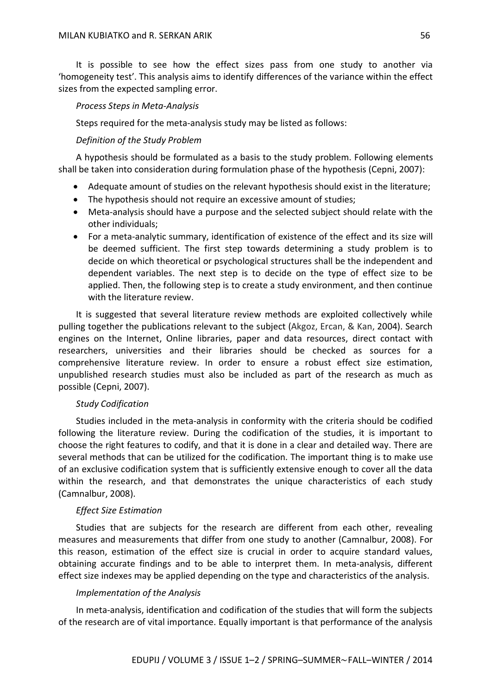It is possible to see how the effect sizes pass from one study to another via 'homogeneity test'. This analysis aims to identify differences of the variance within the effect sizes from the expected sampling error.

## *Process Steps in Meta-Analysis*

Steps required for the meta-analysis study may be listed as follows:

## *Definition of the Study Problem*

A hypothesis should be formulated as a basis to the study problem. Following elements shall be taken into consideration during formulation phase of the hypothesis (Cepni, 2007):

- Adequate amount of studies on the relevant hypothesis should exist in the literature;
- The hypothesis should not require an excessive amount of studies;
- Meta-analysis should have a purpose and the selected subject should relate with the other individuals;
- For a meta-analytic summary, identification of existence of the effect and its size will be deemed sufficient. The first step towards determining a study problem is to decide on which theoretical or psychological structures shall be the independent and dependent variables. The next step is to decide on the type of effect size to be applied. Then, the following step is to create a study environment, and then continue with the literature review.

It is suggested that several literature review methods are exploited collectively while pulling together the publications relevant to the subject (Akgoz, Ercan, & Kan, 2004). Search engines on the Internet, Online libraries, paper and data resources, direct contact with researchers, universities and their libraries should be checked as sources for a comprehensive literature review. In order to ensure a robust effect size estimation, unpublished research studies must also be included as part of the research as much as possible (Cepni, 2007).

## *Study Codification*

Studies included in the meta-analysis in conformity with the criteria should be codified following the literature review. During the codification of the studies, it is important to choose the right features to codify, and that it is done in a clear and detailed way. There are several methods that can be utilized for the codification. The important thing is to make use of an exclusive codification system that is sufficiently extensive enough to cover all the data within the research, and that demonstrates the unique characteristics of each study (Camnalbur, 2008).

## *Effect Size Estimation*

Studies that are subjects for the research are different from each other, revealing measures and measurements that differ from one study to another (Camnalbur, 2008). For this reason, estimation of the effect size is crucial in order to acquire standard values, obtaining accurate findings and to be able to interpret them. In meta-analysis, different effect size indexes may be applied depending on the type and characteristics of the analysis.

## *Implementation of the Analysis*

In meta-analysis, identification and codification of the studies that will form the subjects of the research are of vital importance. Equally important is that performance of the analysis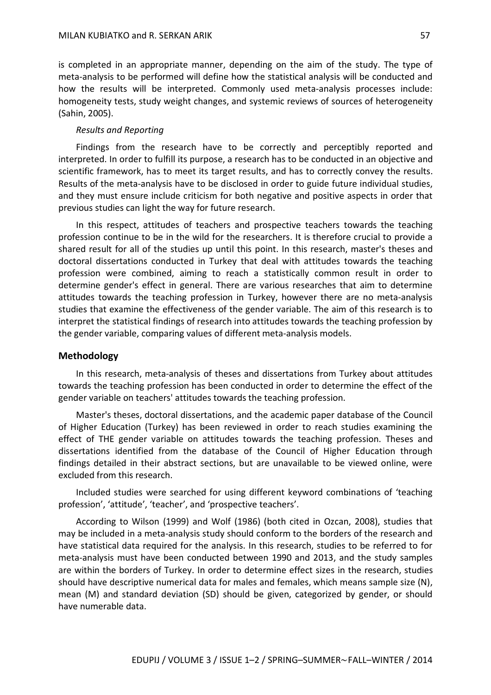is completed in an appropriate manner, depending on the aim of the study. The type of meta-analysis to be performed will define how the statistical analysis will be conducted and how the results will be interpreted. Commonly used meta-analysis processes include: homogeneity tests, study weight changes, and systemic reviews of sources of heterogeneity (Sahin, 2005).

## *Results and Reporting*

Findings from the research have to be correctly and perceptibly reported and interpreted. In order to fulfill its purpose, a research has to be conducted in an objective and scientific framework, has to meet its target results, and has to correctly convey the results. Results of the meta-analysis have to be disclosed in order to guide future individual studies, and they must ensure include criticism for both negative and positive aspects in order that previous studies can light the way for future research.

In this respect, attitudes of teachers and prospective teachers towards the teaching profession continue to be in the wild for the researchers. It is therefore crucial to provide a shared result for all of the studies up until this point. In this research, master's theses and doctoral dissertations conducted in Turkey that deal with attitudes towards the teaching profession were combined, aiming to reach a statistically common result in order to determine gender's effect in general. There are various researches that aim to determine attitudes towards the teaching profession in Turkey, however there are no meta-analysis studies that examine the effectiveness of the gender variable. The aim of this research is to interpret the statistical findings of research into attitudes towards the teaching profession by the gender variable, comparing values of different meta-analysis models.

#### **Methodology**

In this research, meta-analysis of theses and dissertations from Turkey about attitudes towards the teaching profession has been conducted in order to determine the effect of the gender variable on teachers' attitudes towards the teaching profession.

Master's theses, doctoral dissertations, and the academic paper database of the Council of Higher Education (Turkey) has been reviewed in order to reach studies examining the effect of THE gender variable on attitudes towards the teaching profession. Theses and dissertations identified from the database of the Council of Higher Education through findings detailed in their abstract sections, but are unavailable to be viewed online, were excluded from this research.

Included studies were searched for using different keyword combinations of 'teaching profession', 'attitude', 'teacher', and 'prospective teachers'.

According to Wilson (1999) and Wolf (1986) (both cited in Ozcan, 2008), studies that may be included in a meta-analysis study should conform to the borders of the research and have statistical data required for the analysis. In this research, studies to be referred to for meta-analysis must have been conducted between 1990 and 2013, and the study samples are within the borders of Turkey. In order to determine effect sizes in the research, studies should have descriptive numerical data for males and females, which means sample size (N), mean (M) and standard deviation (SD) should be given, categorized by gender, or should have numerable data.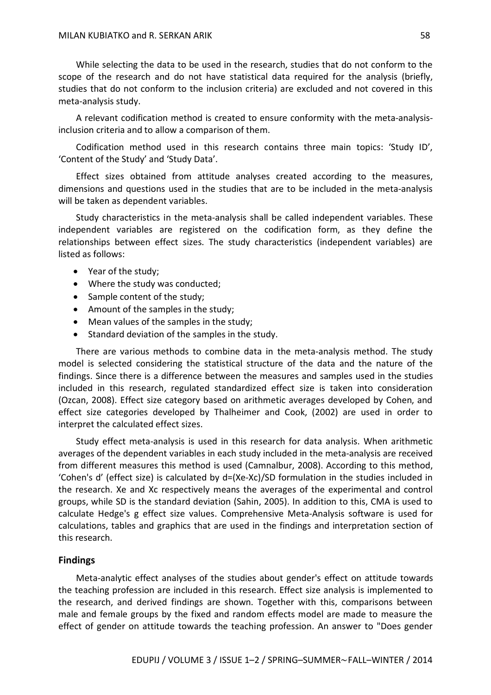While selecting the data to be used in the research, studies that do not conform to the scope of the research and do not have statistical data required for the analysis (briefly, studies that do not conform to the inclusion criteria) are excluded and not covered in this meta-analysis study.

A relevant codification method is created to ensure conformity with the meta-analysisinclusion criteria and to allow a comparison of them.

Codification method used in this research contains three main topics: 'Study ID', 'Content of the Study' and 'Study Data'.

Effect sizes obtained from attitude analyses created according to the measures, dimensions and questions used in the studies that are to be included in the meta-analysis will be taken as dependent variables.

Study characteristics in the meta-analysis shall be called independent variables. These independent variables are registered on the codification form, as they define the relationships between effect sizes. The study characteristics (independent variables) are listed as follows:

- Year of the study;
- Where the study was conducted;
- Sample content of the study;
- Amount of the samples in the study;
- Mean values of the samples in the study;
- Standard deviation of the samples in the study.

There are various methods to combine data in the meta-analysis method. The study model is selected considering the statistical structure of the data and the nature of the findings. Since there is a difference between the measures and samples used in the studies included in this research, regulated standardized effect size is taken into consideration (Ozcan, 2008). Effect size category based on arithmetic averages developed by Cohen, and effect size categories developed by Thalheimer and Cook, (2002) are used in order to interpret the calculated effect sizes.

Study effect meta-analysis is used in this research for data analysis. When arithmetic averages of the dependent variables in each study included in the meta-analysis are received from different measures this method is used (Camnalbur, 2008). According to this method, 'Cohen's d' (effect size) is calculated by d=(Xe-Xc)/SD formulation in the studies included in the research. Xe and Xc respectively means the averages of the experimental and control groups, while SD is the standard deviation (Sahin, 2005). In addition to this, CMA is used to calculate Hedge's g effect size values. Comprehensive Meta-Analysis software is used for calculations, tables and graphics that are used in the findings and interpretation section of this research.

#### **Findings**

Meta-analytic effect analyses of the studies about gender's effect on attitude towards the teaching profession are included in this research. Effect size analysis is implemented to the research, and derived findings are shown. Together with this, comparisons between male and female groups by the fixed and random effects model are made to measure the effect of gender on attitude towards the teaching profession. An answer to "Does gender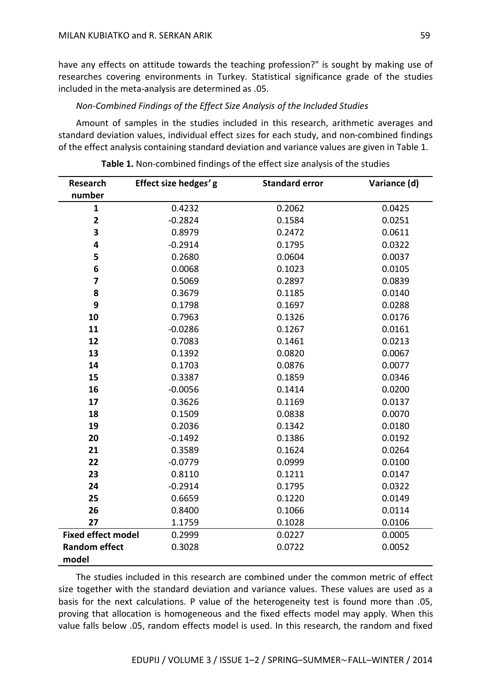have any effects on attitude towards the teaching profession?" is sought by making use of researches covering environments in Turkey. Statistical significance grade of the studies included in the meta-analysis are determined as .05.

## *Non-Combined Findings of the Effect Size Analysis of the Included Studies*

Amount of samples in the studies included in this research, arithmetic averages and standard deviation values, individual effect sizes for each study, and non-combined findings of the effect analysis containing standard deviation and variance values are given in Table 1.

| <b>Research</b>           | Effect size hedges' g | <b>Standard error</b> | Variance (d) |
|---------------------------|-----------------------|-----------------------|--------------|
| number                    |                       |                       |              |
| $\mathbf{1}$              | 0.4232                | 0.2062                | 0.0425       |
| $\mathbf{2}$              | $-0.2824$             | 0.1584                | 0.0251       |
| 3                         | 0.8979                | 0.2472                | 0.0611       |
| $\overline{\mathbf{4}}$   | $-0.2914$             | 0.1795                | 0.0322       |
| 5                         | 0.2680                | 0.0604                | 0.0037       |
| 6                         | 0.0068                | 0.1023                | 0.0105       |
| $\overline{\mathbf{z}}$   | 0.5069                | 0.2897                | 0.0839       |
| 8                         | 0.3679                | 0.1185                | 0.0140       |
| 9                         | 0.1798                | 0.1697                | 0.0288       |
| 10                        | 0.7963                | 0.1326                | 0.0176       |
| 11                        | $-0.0286$             | 0.1267                | 0.0161       |
| 12                        | 0.7083                | 0.1461                | 0.0213       |
| 13                        | 0.1392                | 0.0820                | 0.0067       |
| 14                        | 0.1703                | 0.0876                | 0.0077       |
| 15                        | 0.3387                | 0.1859                | 0.0346       |
| 16                        | $-0.0056$             | 0.1414                | 0.0200       |
| 17                        | 0.3626                | 0.1169                | 0.0137       |
| 18                        | 0.1509                | 0.0838                | 0.0070       |
| 19                        | 0.2036                | 0.1342                | 0.0180       |
| 20                        | $-0.1492$             | 0.1386                | 0.0192       |
| 21                        | 0.3589                | 0.1624                | 0.0264       |
| 22                        | $-0.0779$             | 0.0999                | 0.0100       |
| 23                        | 0.8110                | 0.1211                | 0.0147       |
| 24                        | $-0.2914$             | 0.1795                | 0.0322       |
| 25                        | 0.6659                | 0.1220                | 0.0149       |
| 26                        | 0.8400                | 0.1066                | 0.0114       |
| 27                        | 1.1759                | 0.1028                | 0.0106       |
| <b>Fixed effect model</b> | 0.2999                | 0.0227                | 0.0005       |
| <b>Random effect</b>      | 0.3028                | 0.0722                | 0.0052       |
| model                     |                       |                       |              |

The studies included in this research are combined under the common metric of effect size together with the standard deviation and variance values. These values are used as a basis for the next calculations. P value of the heterogeneity test is found more than .05, proving that allocation is homogeneous and the fixed effects model may apply. When this value falls below .05, random effects model is used. In this research, the random and fixed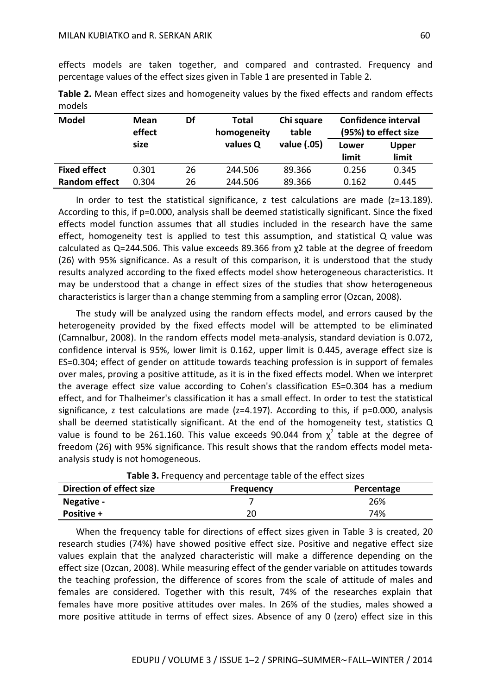effects models are taken together, and compared and contrasted. Frequency and percentage values of the effect sizes given in Table 1 are presented in Table 2.

| Table 2. Mean effect sizes and homogeneity values by the fixed effects and random effects |  |  |  |  |  |
|-------------------------------------------------------------------------------------------|--|--|--|--|--|
| models                                                                                    |  |  |  |  |  |

| <b>Model</b>         | Mean<br>effect | Df | <b>Total</b><br>homogeneity | Chi square<br>table | <b>Confidence interval</b><br>(95%) to effect size |              |
|----------------------|----------------|----|-----------------------------|---------------------|----------------------------------------------------|--------------|
|                      | size           |    | values Q                    | value (.05)         | Lower                                              | <b>Upper</b> |
|                      |                |    |                             |                     | limit                                              | limit        |
| <b>Fixed effect</b>  | 0.301          | 26 | 244.506                     | 89.366              | 0.256                                              | 0.345        |
| <b>Random effect</b> | 0.304          | 26 | 244.506                     | 89.366              | 0.162                                              | 0.445        |

In order to test the statistical significance, z test calculations are made  $(z=13.189)$ . According to this, if p=0.000, analysis shall be deemed statistically significant. Since the fixed effects model function assumes that all studies included in the research have the same effect, homogeneity test is applied to test this assumption, and statistical Q value was calculated as Q=244.506. This value exceeds 89.366 from χ2 table at the degree of freedom (26) with 95% significance. As a result of this comparison, it is understood that the study results analyzed according to the fixed effects model show heterogeneous characteristics. It may be understood that a change in effect sizes of the studies that show heterogeneous characteristics is larger than a change stemming from a sampling error (Ozcan, 2008).

The study will be analyzed using the random effects model, and errors caused by the heterogeneity provided by the fixed effects model will be attempted to be eliminated (Camnalbur, 2008). In the random effects model meta-analysis, standard deviation is 0.072, confidence interval is 95%, lower limit is 0.162, upper limit is 0.445, average effect size is ES=0.304; effect of gender on attitude towards teaching profession is in support of females over males, proving a positive attitude, as it is in the fixed effects model. When we interpret the average effect size value according to Cohen's classification ES=0.304 has a medium effect, and for Thalheimer's classification it has a small effect. In order to test the statistical significance, z test calculations are made ( $z=4.197$ ). According to this, if  $p=0.000$ , analysis shall be deemed statistically significant. At the end of the homogeneity test, statistics Q value is found to be 261.160. This value exceeds 90.044 from  $\chi^2$  table at the degree of freedom (26) with 95% significance. This result shows that the random effects model metaanalysis study is not homogeneous.

| <b>TWATE OF</b> FIGURE TOP OIL BET CONTOURS COMPLETED CHILD CHILD STEED. |                  |            |  |  |
|--------------------------------------------------------------------------|------------------|------------|--|--|
| Direction of effect size                                                 | <b>Frequency</b> | Percentage |  |  |
| Negative -                                                               |                  | 26%        |  |  |
| <b>Positive +</b>                                                        | 20               | 74%        |  |  |

**Table 3.** Frequency and percentage table of the effect sizes

When the frequency table for directions of effect sizes given in Table 3 is created, 20 research studies (74%) have showed positive effect size. Positive and negative effect size values explain that the analyzed characteristic will make a difference depending on the effect size (Ozcan, 2008). While measuring effect of the gender variable on attitudes towards the teaching profession, the difference of scores from the scale of attitude of males and females are considered. Together with this result, 74% of the researches explain that females have more positive attitudes over males. In 26% of the studies, males showed a more positive attitude in terms of effect sizes. Absence of any 0 (zero) effect size in this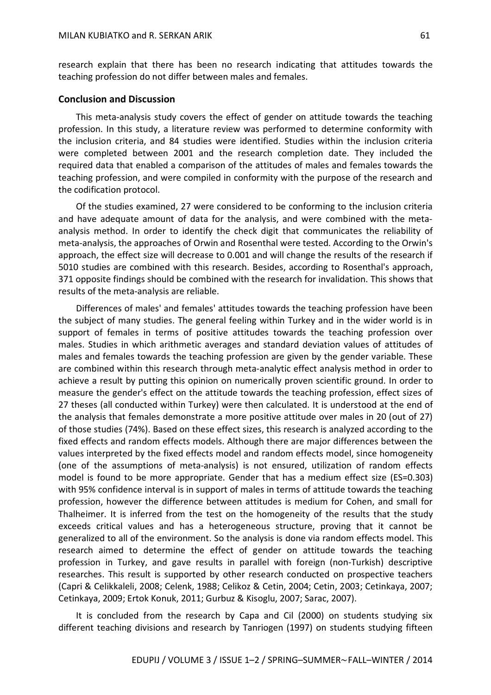research explain that there has been no research indicating that attitudes towards the teaching profession do not differ between males and females.

### **Conclusion and Discussion**

This meta-analysis study covers the effect of gender on attitude towards the teaching profession. In this study, a literature review was performed to determine conformity with the inclusion criteria, and 84 studies were identified. Studies within the inclusion criteria were completed between 2001 and the research completion date. They included the required data that enabled a comparison of the attitudes of males and females towards the teaching profession, and were compiled in conformity with the purpose of the research and the codification protocol.

Of the studies examined, 27 were considered to be conforming to the inclusion criteria and have adequate amount of data for the analysis, and were combined with the metaanalysis method. In order to identify the check digit that communicates the reliability of meta-analysis, the approaches of Orwin and Rosenthal were tested. According to the Orwin's approach, the effect size will decrease to 0.001 and will change the results of the research if 5010 studies are combined with this research. Besides, according to Rosenthal's approach, 371 opposite findings should be combined with the research for invalidation. This shows that results of the meta-analysis are reliable.

Differences of males' and females' attitudes towards the teaching profession have been the subject of many studies. The general feeling within Turkey and in the wider world is in support of females in terms of positive attitudes towards the teaching profession over males. Studies in which arithmetic averages and standard deviation values of attitudes of males and females towards the teaching profession are given by the gender variable. These are combined within this research through meta-analytic effect analysis method in order to achieve a result by putting this opinion on numerically proven scientific ground. In order to measure the gender's effect on the attitude towards the teaching profession, effect sizes of 27 theses (all conducted within Turkey) were then calculated. It is understood at the end of the analysis that females demonstrate a more positive attitude over males in 20 (out of 27) of those studies (74%). Based on these effect sizes, this research is analyzed according to the fixed effects and random effects models. Although there are major differences between the values interpreted by the fixed effects model and random effects model, since homogeneity (one of the assumptions of meta-analysis) is not ensured, utilization of random effects model is found to be more appropriate. Gender that has a medium effect size (ES=0.303) with 95% confidence interval is in support of males in terms of attitude towards the teaching profession, however the difference between attitudes is medium for Cohen, and small for Thalheimer. It is inferred from the test on the homogeneity of the results that the study exceeds critical values and has a heterogeneous structure, proving that it cannot be generalized to all of the environment. So the analysis is done via random effects model. This research aimed to determine the effect of gender on attitude towards the teaching profession in Turkey, and gave results in parallel with foreign (non-Turkish) descriptive researches. This result is supported by other research conducted on prospective teachers (Capri & Celikkaleli, 2008; Celenk, 1988; Celikoz & Cetin, 2004; Cetin, 2003; Cetinkaya, 2007; Cetinkaya, 2009; Ertok Konuk, 2011; Gurbuz & Kisoglu, 2007; Sarac, 2007).

It is concluded from the research by Capa and Cil (2000) on students studying six different teaching divisions and research by Tanriogen (1997) on students studying fifteen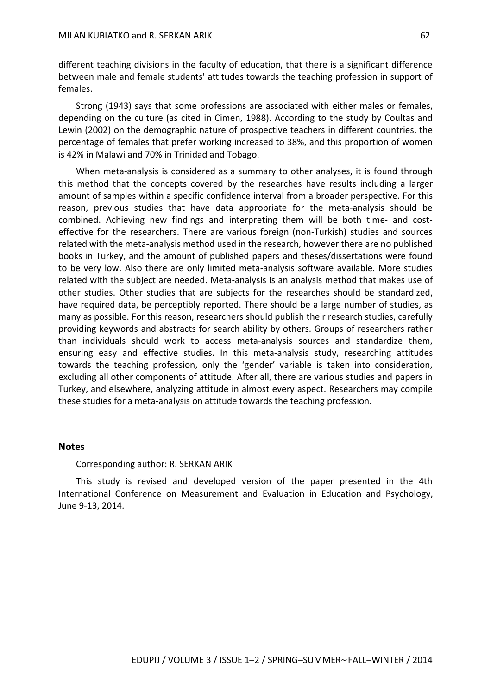different teaching divisions in the faculty of education, that there is a significant difference between male and female students' attitudes towards the teaching profession in support of females.

Strong (1943) says that some professions are associated with either males or females, depending on the culture (as cited in Cimen, 1988). According to the study by Coultas and Lewin (2002) on the demographic nature of prospective teachers in different countries, the percentage of females that prefer working increased to 38%, and this proportion of women is 42% in Malawi and 70% in Trinidad and Tobago.

When meta-analysis is considered as a summary to other analyses, it is found through this method that the concepts covered by the researches have results including a larger amount of samples within a specific confidence interval from a broader perspective. For this reason, previous studies that have data appropriate for the meta-analysis should be combined. Achieving new findings and interpreting them will be both time- and costeffective for the researchers. There are various foreign (non-Turkish) studies and sources related with the meta-analysis method used in the research, however there are no published books in Turkey, and the amount of published papers and theses/dissertations were found to be very low. Also there are only limited meta-analysis software available. More studies related with the subject are needed. Meta-analysis is an analysis method that makes use of other studies. Other studies that are subjects for the researches should be standardized, have required data, be perceptibly reported. There should be a large number of studies, as many as possible. For this reason, researchers should publish their research studies, carefully providing keywords and abstracts for search ability by others. Groups of researchers rather than individuals should work to access meta-analysis sources and standardize them, ensuring easy and effective studies. In this meta-analysis study, researching attitudes towards the teaching profession, only the 'gender' variable is taken into consideration, excluding all other components of attitude. After all, there are various studies and papers in Turkey, and elsewhere, analyzing attitude in almost every aspect. Researchers may compile these studies for a meta-analysis on attitude towards the teaching profession.

#### **Notes**

#### Corresponding author: R. SERKAN ARIK

This study is revised and developed version of the paper presented in the 4th International Conference on Measurement and Evaluation in Education and Psychology, June 9-13, 2014.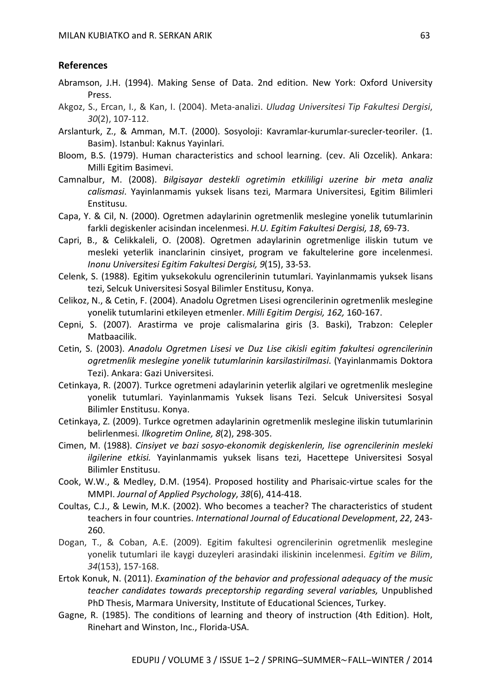## **References**

- Abramson, J.H. (1994). Making Sense of Data. 2nd edition. New York: Oxford University Press.
- Akgoz, S., Ercan, I., & Kan, I. (2004). Meta-analizi. *Uludag Universitesi Tip Fakultesi Dergisi*, *30*(2), 107-112.
- Arslanturk, Z., & Amman, M.T. (2000). Sosyoloji: Kavramlar-kurumlar-surecler-teoriler. (1. Basim). Istanbul: Kaknus Yayinlari.
- Bloom, B.S. (1979). Human characteristics and school learning. (cev. Ali Ozcelik). Ankara: Milli Egitim Basimevi.
- Camnalbur, M. (2008). *Bilgisayar destekli ogretimin etkililigi uzerine bir meta analiz calismasi*. Yayinlanmamis yuksek lisans tezi, Marmara Universitesi, Egitim Bilimleri Enstitusu.
- Capa, Y. & Cil, N. (2000). Ogretmen adaylarinin ogretmenlik meslegine yonelik tutumlarinin farkli degiskenler acisindan incelenmesi. *H.U. Egitim Fakultesi Dergisi, 18*, 69-73.
- Capri, B., & Celikkaleli, O. (2008). Ogretmen adaylarinin ogretmenlige iliskin tutum ve mesleki yeterlik inanclarinin cinsiyet, program ve fakultelerine gore incelenmesi. *Inonu Universitesi Egitim Fakultesi Dergisi, 9*(15), 33-53.
- Celenk, S. (1988). Egitim yuksekokulu ogrencilerinin tutumlari. Yayinlanmamis yuksek lisans tezi, Selcuk Universitesi Sosyal Bilimler Enstitusu, Konya.
- Celikoz, N., & Cetin, F. (2004). Anadolu Ogretmen Lisesi ogrencilerinin ogretmenlik meslegine yonelik tutumlarini etkileyen etmenler. *Milli Egitim Dergisi, 162,* 160-167.
- Cepni, S. (2007). Arastirma ve proje calismalarina giris (3. Baski), Trabzon: Celepler Matbaacilik.
- Cetin, S. (2003). *Anadolu Ogretmen Lisesi ve Duz Lise cikisli egitim fakultesi ogrencilerinin ogretmenlik meslegine yonelik tutumlarinin karsilastirilmasi*. (Yayinlanmamis Doktora Tezi). Ankara: Gazi Universitesi.
- Cetinkaya, R. (2007). Turkce ogretmeni adaylarinin yeterlik algilari ve ogretmenlik meslegine yonelik tutumlari. Yayinlanmamis Yuksek lisans Tezi. Selcuk Universitesi Sosyal Bilimler Enstitusu. Konya.
- Cetinkaya, Z. (2009). Turkce ogretmen adaylarinin ogretmenlik meslegine iliskin tutumlarinin belirlenmesi. *llkogretim Online, 8*(2), 298-305.
- Cimen, M. (1988). *Cinsiyet ve bazi sosyo-ekonomik degiskenlerin, lise ogrencilerinin mesleki ilgilerine etkisi.* Yayinlanmamis yuksek lisans tezi, Hacettepe Universitesi Sosyal Bilimler Enstitusu.
- Cook, W.W., & Medley, D.M. (1954). Proposed hostility and Pharisaic-virtue scales for the MMPI. *Journal of Applied Psychology*, *38*(6), 414-418.
- Coultas, C.J., & Lewin, M.K. (2002). Who becomes a teacher? The characteristics of student teachers in four countries. *International Journal of Educational Development*, *22*, 243- 260.
- Dogan, T., & Coban, A.E. (2009). Egitim fakultesi ogrencilerinin ogretmenlik meslegine yonelik tutumlari ile kaygi duzeyleri arasindaki iliskinin incelenmesi. *Egitim ve Bilim*, *34*(153), 157-168.
- Ertok Konuk, N. (2011). *Examination of the behavior and professional adequacy of the music teacher candidates towards preceptorship regarding several variables,* Unpublished PhD Thesis, Marmara University, Institute of Educational Sciences, Turkey.
- Gagne, R. (1985). The conditions of learning and theory of instruction (4th Edition). Holt, Rinehart and Winston, Inc., Florida-USA.